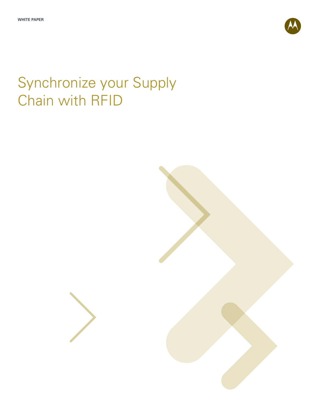

# Synchronize your Supply Chain with RFID

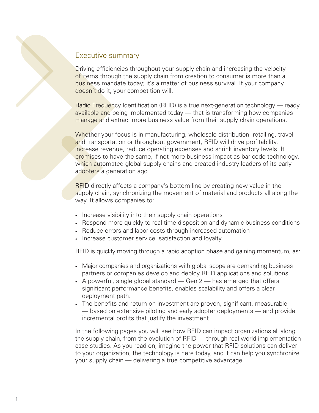### Executive summary

Driving efficiencies throughout your supply chain and increasing the velocity of items through the supply chain from creation to consumer is more than a business mandate today; it's a matter of business survival. If your company doesn't do it, your competition will.

Radio Frequency Identification (RFID) is a true next-generation technology — ready, available and being implemented today — that is transforming how companies manage and extract more business value from their supply chain operations.

Whether your focus is in manufacturing, wholesale distribution, retailing, travel and transportation or throughout government, RFID will drive profitability, increase revenue, reduce operating expenses and shrink inventory levels. It promises to have the same, if not more business impact as bar code technology, which automated global supply chains and created industry leaders of its early adopters a generation ago.

RFID directly affects a company's bottom line by creating new value in the supply chain, synchronizing the movement of material and products all along the way. It allows companies to:

- Increase visibility into their supply chain operations
- Respond more quickly to real-time disposition and dynamic business conditions
- Reduce errors and labor costs through increased automation
- Increase customer service, satisfaction and loyalty

RFID is quickly moving through a rapid adoption phase and gaining momentum, as:

- Major companies and organizations with global scope are demanding business partners or companies develop and deploy RFID applications and solutions.
- A powerful, single global standard  $-$  Gen 2  $-$  has emerged that offers significant performance benefits, enables scalability and offers a clear deployment path.
- The benefits and return-on-investment are proven, significant, measurable — based on extensive piloting and early adopter deployments — and provide incremental profits that justify the investment.

In the following pages you will see how RFID can impact organizations all along the supply chain, from the evolution of RFID — through real-world implementation case studies. As you read on, imagine the power that RFID solutions can deliver to your organization; the technology is here today, and it can help you synchronize your supply chain — delivering a true competitive advantage.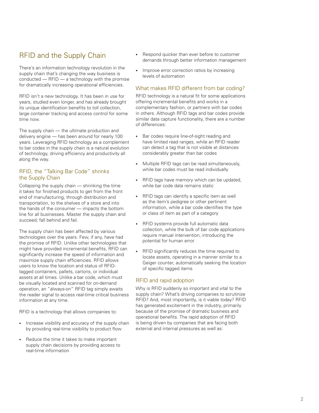# RFID and the Supply Chain

There's an information technology revolution in the supply chain that's changing the way business is conducted — RFID — a technology with the promise for dramatically increasing operational efficiencies.

RFID isn't a new technology. It has been in use for years, studied even longer, and has already brought its unique identification benefits to toll collection, large container tracking and access control for some time now.

The supply chain — the ultimate production and delivery engine — has been around for nearly 100 years. Leveraging RFID technology as a complement to bar codes in the supply chain is a natural evolution of technology, driving efficiency and productivity all along the way.

#### RFID, the "Talking Bar Code" shrinks the Supply Chain

Collapsing the supply chain — shrinking the time it takes for finished products to get from the front end of manufacturing, through distribution and transportation, to the shelves of a store and into the hands of the consumer — impacts the bottom line for all businesses. Master the supply chain and succeed; fall behind and fail.

The supply chain has been affected by various technologies over the years. Few, if any, have had the promise of RFID. Unlike other technologies that might have provided incremental benefits, RFID can significantly increase the speed of information and maximize supply chain efficiencies. RFID allows users to know the location and status of RFIDtagged containers, pallets, cartons, or individual assets at all times. Unlike a bar code, which must be visually located and scanned for on-demand operation, an "always-on" RFID tag simply awaits the reader signal to access real-time critical business information at any time.

RFID is a technology that allows companies to:

- Increase visibility and accuracy of the supply chain by providing real-time visibility to product flow
- • Reduce the time it takes to make important supply chain decisions by providing access to real-time information
- Respond quicker than ever before to customer demands through better information management
- Improve error correction ratios by increasing levels of automation

#### What makes RFID different from bar coding?

RFID technology is a natural fit for some applications offering incremental benefits and works in a complementary fashion, or partners with bar codes in others. Although RFID tags and bar codes provide similar data capture functionality, there are a number of differences:

- Bar codes require line-of-sight reading and have limited read ranges, while an RFID reader can detect a tag that is not visible at distances considerably greater than bar codes
- Multiple RFID tags can be read simultaneously, while bar codes must be read individually
- RFID tags have memory which can be updated, while bar code data remains static
- RFID tags can identify a specific item as well as the item's pedigree or other pertinent information, while a bar code identifies the type or class of item as part of a category
- • RFID systems provide full automatic data collection, while the bulk of bar code applications require manual intervention, introducing the potential for human error
- RFID significantly reduces the time required to locate assets, operating in a manner similar to a Geiger counter, automatically seeking the location of specific tagged items

#### RFID and rapid adoption

Why is RFID suddenly so important and vital to the supply chain? What's driving companies to scrutinize RFID? And, most importantly, is it viable today? RFID has generated excitement in the industry, primarily because of the promise of dramatic business and operational benefits. The rapid adoption of RFID is being driven by companies that are facing both external and internal pressures as well as: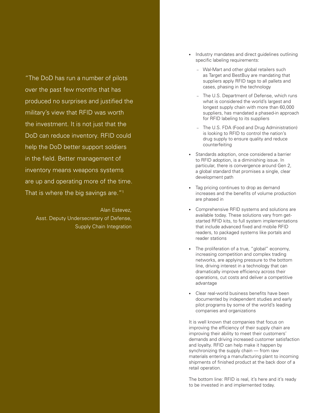"The DoD has run a number of pilots over the past few months that has produced no surprises and justified the military's view that RFID was worth the investment. It is not just that the DoD can reduce inventory. RFID could help the DoD better support soldiers in the field. Better management of inventory means weapons systems are up and operating more of the time. That is where the big savings are."<sup>1</sup>

Alan Estevez, Asst. Deputy Undersecretary of Defense, Supply Chain Integration

- Industry mandates and direct guidelines outlining specific labeling requirements:
	- Wal-Mart and other global retailers such as Target and BestBuy are mandating that suppliers apply RFID tags to all pallets and cases, phasing in the technology
	- The U.S. Department of Defense, which runs what is considered the world's largest and longest supply chain with more than 60,000 suppliers, has mandated a phased-in approach for RFID labeling to its suppliers
	- The U.S. FDA (Food and Drug Administration) is looking to RFID to control the nation's drug supply to ensure quality and reduce counterfeiting
- Standards adoption, once considered a barrier to RFID adoption, is a diminishing issue. In particular, there is convergence around Gen 2, a global standard that promises a single, clear development path
- Tag pricing continues to drop as demand increases and the benefits of volume production are phased in
- • Comprehensive RFID systems and solutions are available today. These solutions vary from getstarted RFID kits, to full system implementations that include advanced fixed and mobile RFID readers, to packaged systems like portals and reader stations
- The proliferation of a true, "global" economy, increasing competition and complex trading networks, are applying pressure to the bottom line, driving interest in a technology that can dramatically improve efficiency across their operations, cut costs and deliver a competitive advantage
- • Clear real-world business benefits have been documented by independent studies and early pilot programs by some of the world's leading companies and organizations

It is well known that companies that focus on improving the efficiency of their supply chain are improving their ability to meet their customers' demands and driving increased customer satisfaction and loyalty. RFID can help make it happen by synchronizing the supply chain — from raw materials entering a manufacturing plant to incoming shipments of finished product at the back door of a retail operation.

The bottom line: RFID is real, it's here and it's ready to be invested in and implemented today.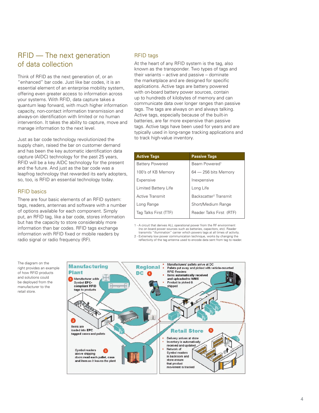# RFID — The next generation of data collection

Think of RFID as the next generation of, or an "enhanced" bar code. Just like bar codes, it is an essential element of an enterprise mobility system, offering even greater access to information across your systems. With RFID, data capture takes a quantum leap forward, with much higher information capacity, non-contact information transmission and always-on identification with limited or no human intervention. It takes the ability to capture, move and manage information to the next level.

Just as bar code technology revolutionized the supply chain, raised the bar on customer demand and has been the key automatic identification data capture (AIDC) technology for the past 25 years, RFID will be a key AIDC technology for the present and the future. And just as the bar code was a leapfrog technology that rewarded its early adopters, so, too, is RFID an essential technology today.

#### RFID basics

There are four basic elements of an RFID system: tags, readers, antennas and software with a number of options available for each component. Simply put, an RFID tag, like a bar code, stores information but has the capacity to store considerably more information than bar codes. RFID tags exchange information with RFID fixed or mobile readers by radio signal or radio frequency (RF).

#### RFID tags

At the heart of any RFID system is the tag, also known as the transponder. Two types of tags and their variants – active and passive – dominate the marketplace and are designed for specific applications. Active tags are battery powered with on-board battery power sources, contain up to hundreds of kilobytes of memory and can communicate data over longer ranges than passive tags. The tags are always on and always talking. Active tags, especially because of the built-in batteries, are far more expensive than passive tags. Active tags have been used for years and are typically used in long-range tracking applications and to track high-value inventory.

| <b>Active Tags</b>     | <b>Passive Tags</b>               |
|------------------------|-----------------------------------|
| <b>Battery Powered</b> | Beam Powered <sup>1</sup>         |
| 100's of KB Memory     | $64 - 256$ bits Memory            |
| Expensive              | Inexpensive                       |
| Limited Battery Life   | Long Life                         |
| Active Transmit        | Backscatter <sup>2</sup> Transmit |
| Long Range             | Short/Medium Range                |
| Tag Talks First (TTF)  | Reader Talks First (RTF)          |
|                        |                                   |

1 - A circuit that derives ALL operational power from the RF environment (no on board power sources such as batteries, capacitors, etc). Reader

transmits "illumination" carrier which powers tags at all times of activity. 2 - Extremely low power communication technique, works by changing the reflectivity of the tag antenna used to encode data sent from tag to reader.

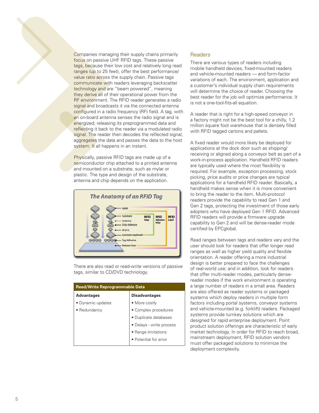Companies managing their supply chains primarily focus on passive UHF RFID tags. These passive tags, because their low cost and relatively long read ranges (up to 25 feet), offer the best performance/ value ratio across the supply chain. Passive tags communicate with readers leveraging backscatter technology and are "beam powered", meaning they derive all of their operational power from the RF environment. The RFID reader generates a radio signal and broadcasts it via the connected antenna configured in a radio frequency (RF) field. A tag, with an on-board antenna senses the radio signal and is energized; releasing its preprogrammed data and reflecting it back to the reader via a modulated radio signal. The reader then decodes the reflected signal, aggregates the data and passes the data to the host system. It all happens in an instant.

Physically, passive RFID tags are made up of a semiconductor chip attached to a printed antenna and mounted on a substrate, such as mylar or plastic. The type and design of the substrate, antenna and chip depends on the application.



There are also read or read-write versions of passive tags, similar to CD/DVD technology.

| <b>Read/Write Reprogrammable Data</b> |                          |  |  |  |
|---------------------------------------|--------------------------|--|--|--|
| <b>Advantages</b>                     | <b>Disadvantages</b>     |  |  |  |
| • Dynamic updates                     | • More costly            |  |  |  |
| • Redundancy                          | • Complex procedures     |  |  |  |
|                                       | · Duplicate databases    |  |  |  |
|                                       | · Delays - write process |  |  |  |
|                                       | • Range limitations      |  |  |  |
|                                       | • Potential for error    |  |  |  |
|                                       |                          |  |  |  |

#### **Readers**

There are various types of readers including mobile handheld devices, fixed-mounted readers and vehicle-mounted readers — and form-factor variations of each. The environment, application and a customer's individual supply chain requirements will determine the choice of reader. Choosing the best reader for the job will optimize performance. It is not a one-tool-fits-all equation.

A reader that is right for a high-speed conveyor in a factory might not be the best tool for a chilly, 1.2 million square foot warehouse that is densely filled with RFID tagged cartons and pallets.

A fixed reader would more likely be deployed for applications at the dock door such as shipping/ receiving or aligned along a conveyor belt as part of a work-in-process application. Handheld RFID readers are typically used where the most flexibility is required. For example, exception processing, stock picking, price audits or price changes are typical applications for a handheld RFID reader. Basically, a handheld makes sense when it is more convenient to bring the reader to the item. Multi-protocol readers provide the capability to read Gen 1 and Gen 2 tags, protecting the investment of those early adopters who have deployed Gen 1 RFID. Advanced RFID readers will provide a firmware upgrade capability to Gen 2 and will be dense-reader mode certified by EPCglobal.

Read ranges between tags and readers vary and the user should look for readers that offer longer read ranges as well as higher yield quality and flexible orientation. A reader offering a more industrial design is better prepared to face the challenges of real-world use; and in addition, look for readers that offer multi-reader modes, particularly densereader modes if the work environment is operating a large number of readers in a small area. Readers are also offered as reader systems or packaged systems which deploy readers in multiple form factors including portal systems, conveyor systems and vehicle-mounted (e.g. forklift) readers. Packaged systems provide turnkey solutions which are designed for rapid enterprise deployment. Point product solution offerings are characteristic of early market technology. In order for RFID to reach broad, mainstream deployment, RFID solution vendors must offer packaged solutions to minimize the deployment complexity.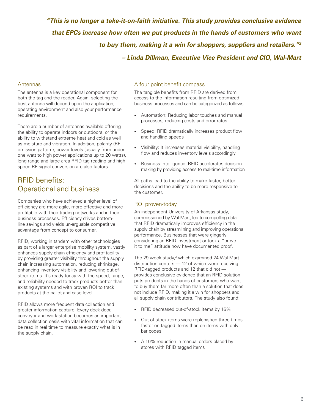*"This is no longer a take-it-on-faith initiative. This study provides conclusive evidence that EPCs increase how often we put products in the hands of customers who want to buy them, making it a win for shoppers, suppliers and retailers."2 – Linda Dillman, Executive Vice President and CIO, Wal-Mart*

#### Antennas

The antenna is a key operational component for both the tag and the reader. Again, selecting the best antenna will depend upon the application, operating environment and also your performance requirements.

There are a number of antennas available offering the ability to operate indoors or outdoors, or the ability to withstand extreme heat and cold as well as moisture and vibration. In addition, polarity (RF emission pattern), power levels (usually from under one watt to high power applications up to 20 watts), long range and large area RFID tag reading and high speed RF signal conversion are also factors.

# RFID benefits: Operational and business

Companies who have achieved a higher level of efficiency are more agile, more effective and more profitable with their trading networks and in their business processes. Efficiency drives bottomline savings and yields un-arguable competitive advantage from concept to consumer.

RFID, working in tandem with other technologies as part of a larger enterprise mobility system, vastly enhances supply chain efficiency and profitability by providing greater visibility throughout the supply chain increasing automation, reducing shrinkage, enhancing inventory visibility and lowering out-ofstock items. It's ready today with the speed, range, and reliability needed to track products better than existing systems and with proven ROI to track products at the pallet and case level.

RFID allows more frequent data collection and greater information capture. Every dock door, conveyor and work-station becomes an important data collection oasis with vital information that can be read in real time to measure exactly what is in the supply chain.

#### A four point benefit compass

The tangible benefits from RFID are derived from access to the information resulting from optimized business processes and can be categorized as follows:

- Automation: Reducing labor touches and manual processes, reducing costs and error rates
- Speed: RFID dramatically increases product flow and handling speeds
- Visibility: It increases material visibility, handling flow and reduces inventory levels accordingly
- • Business Intelligence: RFID accelerates decision making by providing access to real-time information

All paths lead to the ability to make faster, better decisions and the ability to be more responsive to the customer.

#### ROI proven-today

An independent University of Arkansas study, commissioned by Wal-Mart, led to compelling data that RFID dramatically improves efficiency in the supply chain by streamlining and improving operational performance. Businesses that were gingerly considering an RFID investment or took a "prove it to me" attitude now have documented proof.

The 29-week study,<sup>3</sup> which examined 24 Wal-Mart distribution centers — 12 of which were receiving RFID-tagged products and 12 that did not provides conclusive evidence that an RFID solution puts products in the hands of customers who want to buy them far more often than a solution that does not include RFID, making it a win for shoppers and all supply chain contributors. The study also found:

- RFID decreased out-of-stock items by 16%
- Out-of-stock items were replenished three times faster on tagged items than on items with only bar codes
- A 10% reduction in manual orders placed by stores with RFID tagged items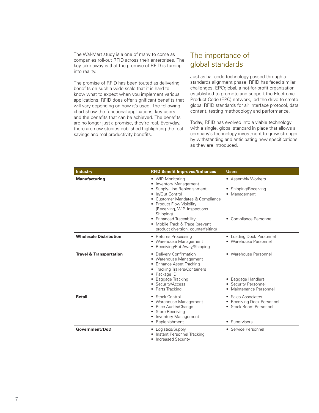The Wal-Mart study is a one of many to come as companies roll-out RFID across their enterprises. The key take away is that the promise of RFID is turning into reality.

The promise of RFID has been touted as delivering benefits on such a wide scale that it is hard to know what to expect when you implement various applications. RFID does offer significant benefits that will vary depending on how it's used. The following chart show the functional applications, key users and the benefits that can be achieved. The benefits are no longer just a promise, they're real. Everyday, there are new studies published highlighting the real savings and real productivity benefits.

# The importance of global standards

Just as bar code technology passed through a standards alignment phase, RFID has faced similar challenges. EPCglobal, a not-for-profit organization established to promote and support the Electronic Product Code (EPC) network, led the drive to create global RFID standards for air interface protocol, data content, testing methodology and performance.

Today, RFID has evolved into a viable technology with a single, global standard in place that allows a company's technology investment to grow stronger by withstanding and anticipating new specifications as they are introduced.

| <b>Industry</b>                    | <b>RFID Benefit Improves/Enhances</b>                                                                                                                                                                                                                                                                           | <b>Users</b>                                                                                   |
|------------------------------------|-----------------------------------------------------------------------------------------------------------------------------------------------------------------------------------------------------------------------------------------------------------------------------------------------------------------|------------------------------------------------------------------------------------------------|
| <b>Manufacturing</b>               | • WIP Monitoring<br>• Inventory Management<br>• Supply-Line Replenishment<br>• In/Out Control<br>• Customer Mandates & Compliance<br>• Product Flow Visibility<br>(Receiving, WIP, Inspections<br>Shipping)<br>• Enhanced Traceability<br>• Mobile Track & Trace (prevent<br>product diversion, counterfeiting) | • Assembly Workers<br>• Shipping/Receiving<br>• Management<br>• Compliance Personnel           |
| <b>Wholesale Distribution</b>      | • Returns Processing<br>• Warehouse Management<br>• Receiving/Put Away/Shipping                                                                                                                                                                                                                                 | • Loading Dock Personnel<br>• Warehouse Personnel                                              |
| <b>Travel &amp; Transportation</b> | • Delivery Confirmation<br>• Warehouse Management<br>• Enhance Asset Tracking<br>• Tracking Trailers/Containers<br>• Package ID<br>• Baggage Tracking<br>• Security/Access<br>• Parts Tracking                                                                                                                  | • Warehouse Personnel<br>• Baggage Handlers<br>• Security Personnel<br>• Maintenance Personnel |
| <b>Retail</b>                      | • Stock Control<br>• Warehouse Management<br>• Price Audits/Change<br>• Store Receiving<br>• Inventory Management<br>• Replenishment                                                                                                                                                                            | • Sales Associates<br>• Receiving Dock Personnel<br>• Stock Room Personnel<br>• Supervisors    |
| Government/DoD                     | • Logistics/Supply<br>• Instant Personnel Tracking<br>• Increased Security                                                                                                                                                                                                                                      | • Service Personnel                                                                            |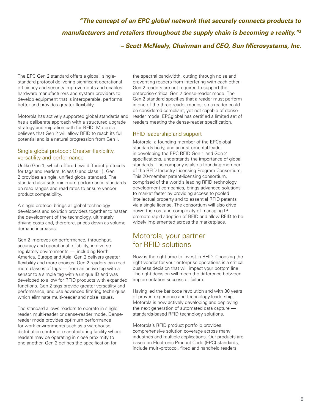# *"The concept of an EPC global network that securely connects products to manufacturers and retailers throughout the supply chain is becoming a reality."3 – Scott McNealy, Chairman and CEO, Sun Microsystems, Inc.*

The EPC Gen 2 standard offers a global, singlestandard protocol delivering significant operational efficiency and security improvements and enables hardware manufacturers and system providers to develop equipment that is interoperable, performs better and provides greater flexibility.

Motorola has actively supported global standards and has a deliberate approach with a structured upgrade strategy and migration path for RFID. Motorola believes that Gen 2 will allow RFID to reach its full potential and is a natural progression from Gen I.

#### Single global protocol: Greater flexibility, versatility and performance

Unlike Gen 1, which offered two different protocols for tags and readers, (class 0 and class 1), Gen 2 provides a single, unified global standard. The standard also sets minimum performance standards on read ranges and read rates to ensure vendor product compatibility.

A single protocol brings all global technology developers and solution providers together to hasten the development of the technology, ultimately driving costs and, therefore, prices down as volume demand increases.

Gen 2 improves on performance, throughput, accuracy and operational reliability, in diverse regulatory environments — including North America, Europe and Asia. Gen 2 delivers greater flexibility and more choices: Gen 2 readers can read more classes of tags – from an active tag with a sensor to a simple tag with a unique ID and was developed to allow for RFID products with expanded functions. Gen 2 tags provide greater versatility and performance, and use advanced filtering techniques which eliminate multi-reader and noise issues.

The standard allows readers to operate in single reader, multi-reader or dense-reader mode. Densereader mode provides optimum performance for work environments such as a warehouse, distribution center or manufacturing facility where readers may be operating in close proximity to one another. Gen 2 defines the specification for

the spectral bandwidth, cutting through noise and preventing readers from interfering with each other. Gen 2 readers are not required to support the enterprise-critical Gen 2 dense-reader mode. The Gen 2 standard specifies that a reader must perform in one of the three reader modes, so a reader could be considered compliant, yet not capable of densereader mode. EPCglobal has certified a limited set of readers meeting the dense-reader specification.

#### RFID leadership and support

Motorola, a founding member of the EPCglobal standards body, and an instrumental leader in developing the EPC RFID Gen 1 and Gen 2 specifications, understands the importance of global standards. The company is also a founding member of the RFID Industry Licensing Program Consortium. This 20-member patent-licensing consortium, comprised of the world's leading RFID technology development companies, brings advanced solutions to market faster by providing access to pooled intellectual property and to essential RFID patents via a single license. The consortium will also drive down the cost and complexity of managing IP, promote rapid adoption of RFID and allow RFID to be widely implemented across the marketplace.

# Motorola, your partner for RFID solutions

Now is the right time to invest in RFID. Choosing the right vendor for your enterprise operations is a critical business decision that will impact your bottom line. The right decision will mean the difference between implementation success or failure.

Having led the bar code revolution and with 30 years of proven experience and technology leadership, Motorola is now actively developing and deploying the next generation of automated data capture standards-based RFID technology solutions.

Motorola's RFID product portfolio provides comprehensive solution coverage across many industries and multiple applications. Our products are based on Electronic Product Code (EPC) standards, include multi-protocol, fixed and handheld readers,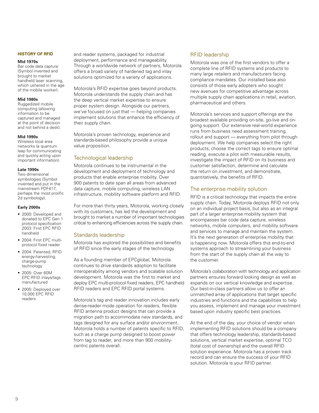#### **History of RFID**

#### **Mid 1970s**

Bar code data capture (Symbol invented and brought to market handheld laser scanning, which ushered in the age of the mobile worker).

#### **Mid 1980s**

Ruggedized mobile computing (allowing information to be captured and managed at the point of decision and not behind a desk).

#### **Mid 1990s**

Wireless local area networks (a quantum leap for communicating and quickly acting upon important information).

#### **Late 1990s**

Two dimensional symbologies (Symbol invented and put in the mainstream PDF417, perhaps the most prolific 2d symbology).

#### **Early 2000s**

- 2000: Developed and donated to EPC Gen 1 protocol specification 2003: First EPC RFID handheld
- • 2004: First EPC multiprotocol fixed reader
- 2004: Patented, RFID energy-harvesting, charge-pump technology
- • 2005: Over 60M EPC RFID inlays/tags manufactured
- 2005: Deployed over 10,000 EPC RFID readers

and reader systems, packaged for industrial deployment, performance and manageability. Through a worldwide network of partners, Motorola offers a broad variety of hardened tag and inlay solutions optimized for a variety of applications.

Motorola's RFID expertise goes beyond products. Motorola understands the supply chain and has the deep vertical market expertise to ensure proper system design. Alongside our partners, we've focused on just that — helping companies implement solutions that enhance the efficiency of their supply chain.

Motorola's proven technology, experience and standards-based philosophy provide a unique value proposition.

#### Technological leadership

Motorola continues to be instrumental in the development and deployment of technology and products that enable enterprise mobility. Over 900 patents to date span all areas from advanced data capture, mobile computing, wireless LAN infrastructure, mobility software platform and RFID.

For more than thirty years, Motorola, working closely with its customers, has led the development and brought to market a number of important technologies critical to enhancing efficiencies across the supply chain.

#### Standards leadership

Motorola has explored the possibilities and benefits of RFID since the early stages of the technology.

As a founding member of EPCglobal, Motorola continues to drive standards adoption to facilitate interoperability among vendors and scalable solution development. Motorola was the first to market and deploy EPC multi-protocol fixed readers, EPC handheld RFID readers and EPC RFID portal systems.

Motorola's tag and reader innovation includes early dense-reader mode operation for readers, flexible RFID antenna product designs that can provide a migration path to accommodate new standards, and tags designed for any surface and/or environment. Motorola holds a number of patents specific to RFID, such as a charge pump designed to boost power from tag to reader, and more than 900 mobilitycentric patents overall.

#### RFID leadership

Motorola was one of the first vendors to offer a complete line of RFID systems and products to many large retailers and manufacturers facing compliance mandates. Our installed base also consists of those early adopters who sought new avenues for competitive advantage across multiple supply chain applications in retail, aviation, pharmaceutical and others.

Motorola's services and support offerings are the broadest available providing on-site, go-live and ongoing support. Our extensive real-world experience runs from business need assessment training, rollout and support — everything from pilot through deployment. We help companies select the right products, choose the correct tags to ensure optimal reading, execute a pilot with measurable results, investigate the impact of RFID on its business and customer satisfaction, determine and calculate the return on investment, and demonstrate, quantitatively, the benefits of RFID.

#### The enterprise mobility solution

RFID is a critical technology that impacts the entire supply chain. Today, Motorola deploys RFID not only on an individual project basis, but also as an integral part of a larger enterprise mobility system that encompasses bar code data capture, wireless networks, mobile computers, and mobility software and services to manage and maintain the system. It's the next generation of enterprise mobility that is happening now. Motorola offers this end-to-end systems approach to streamlining your business from the start of the supply chain all the way to the customer.

Motorola's collaboration with technology and application partners ensures forward looking design as well as expands on our vertical knowledge and expertise. Our best-in-class partners allow us to offer an unmatched array of applications that target specific industries and functions and the capabilities to help you assess, implement and manage your investment based upon industry specific best practices.

At the end of the day, your choice of vendor when implementing RFID solutions should be a company that offers technology leadership, standards-based solutions, vertical market expertise, optimal TCO (total cost of ownership) and the overall RFID solution experience. Motorola has a proven track record and can ensure the success of your RFID solution. Motorola is your RFID partner.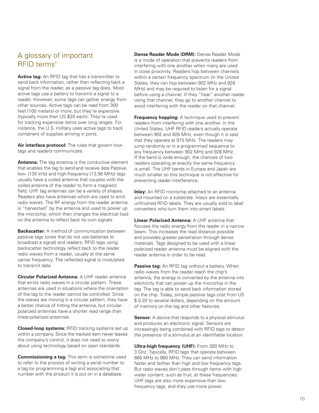# A glossary of important RFID terms 5

**Active tag:** An RFID tag that has a transmitter to send back information, rather than reflecting back a signal from the reader, as a passive tag does. Most active tags use a battery to transmit a signal to a reader. However, some tags can gather energy from other sources. Active tags can be read from 300 feet (100 meters) or more, but they're expensive (typically more than US \$20 each). They're used for tracking expensive items over long ranges. For instance, the U.S. military uses active tags to track containers of supplies arriving in ports.

Air interface protocol: The rules that govern how tags and readers communicate.

**Antenna:** The tag antenna is the conductive element that enables the tag to send and receive data Passive, low- (135 kHz) and high-frequency (13.56 MHz) tags usually have a coiled antenna that couples with the coiled antenna of the reader to form a magnetic field. UHF tag antennas can be a variety of shapes. Readers also have antennas which are used to emit radio waves. The RF energy from the reader antenna is "harvested" by the antenna and used to power up the microchip, which then changes the electrical load on the antenna to reflect back its own signals.

**Backscatter:** A method of communication between passive tags (ones that do not use batteries to broadcast a signal) and readers. RFID tags using backscatter technology reflect back to the reader radio waves from a reader, usually at the same carrier frequency. The reflected signal is modulated to transmit data.

**Circular Polarized Antenna:** A UHF reader antenna that emits radio waves in a circular pattern. These antennas are used in situations where the orientation of the tag to the reader cannot be controlled. Since the waves are moving in a circular pattern, they have a better chance of hitting the antenna, but circularpolarized antennas have a shorter read range than linear-polarized antennas.

**Closed-loop systems:** RFID tracking systems set up within a company. Since the tracked item never leaves the company's control, it does not need to worry about using technology based on open standards.

**Commissioning a tag:** This term is sometime used to refer to the process of writing a serial number to a tag (or programming a tag) and associating that number with the product it is put on in a database.

**Dense Reader Mode (DRM):** Dense Reader Mode is a mode of operation that prevents readers from interfering with one another when many are used in close proximity. Readers hop between channels within a certain frequency spectrum (in the United States, they can hop between 902 MHz and 928 MHz) and may be required to listen for a signal before using a channel. If they "hear" another reader using that channel, they go to another channel to avoid interfering with the reader on that channel.

**Frequency hopping:** A technique used to prevent readers from interfering with one another. In the United States, UHF RFID readers actually operate between 902 and 928 MHz, even though it is said that they operate at 915 MHz. The readers may jump randomly or in a programmed sequence to any frequency between 902 MHz and 928 MHz. If the band is wide enough, the chances of two readers operating at exactly the same frequency is small. The UHF bands in Europe and Japan are much smaller so this technique is not effective for preventing reader interference.

**Inlay:** An RFID microchip attached to an antenna and mounted on a substrate. Inlays are essentially unfinished RFID labels. They are usually sold to label converters who turn them into smart labels.

**Linear Polarized Antenna:** A UHF antenna that focuses the radio energy from the reader in a narrow beam. This increases the read distance possible and provides greater penetration through dense materials. Tags designed to be used with a linear polarized reader antenna must be aligned with the reader antenna in order to be read.

**Passive tag:** An RFID tag without a battery. When radio waves from the reader reach the chip's antenna, the energy is converted by the antenna into electricity that can power up the microchip in the tag. The tag is able to send back information stored on the chip. Today, simple passive tags cost from US \$ 0.20 to several dollars, depending on the amount of memory on the tag and other features.

**Sensor:** A device that responds to a physical stimulus and produces an electronic signal. Sensors are increasingly being combined with RFID tags to detect the presence of a stimulus at an identifiable location.

**Ultra-high frequency (UHF):** From 300 MHz to 3 Ghz. Typically, RFID tags that operate between 866 MHz to 960 MHz. They can send information faster and farther than high and low frequency tags. But radio waves don't pass through items with high water content, such as fruit, at these frequencies. UHF tags are also more expensive than lowfrequency tags, and they use more power.